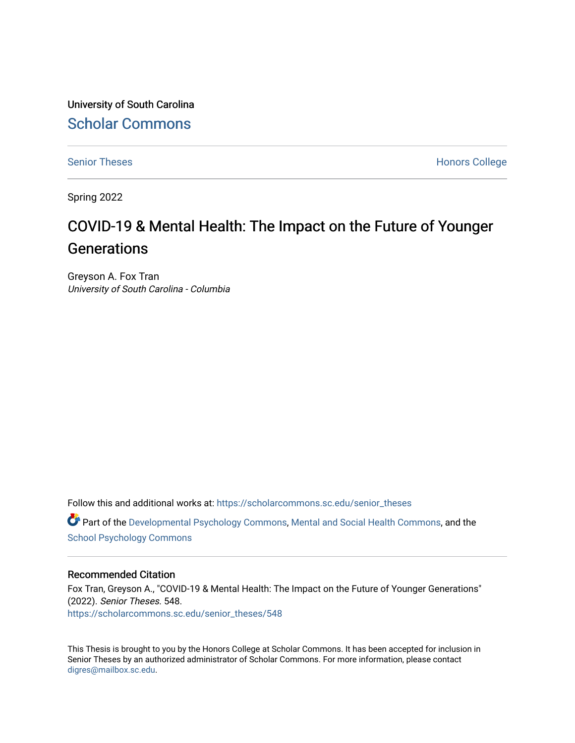University of South Carolina [Scholar Commons](https://scholarcommons.sc.edu/) 

[Senior Theses](https://scholarcommons.sc.edu/senior_theses) **Honors College** Honors College

Spring 2022

# COVID-19 & Mental Health: The Impact on the Future of Younger **Generations**

Greyson A. Fox Tran University of South Carolina - Columbia

Follow this and additional works at: [https://scholarcommons.sc.edu/senior\\_theses](https://scholarcommons.sc.edu/senior_theses?utm_source=scholarcommons.sc.edu%2Fsenior_theses%2F548&utm_medium=PDF&utm_campaign=PDFCoverPages) 

Part of the [Developmental Psychology Commons,](http://network.bepress.com/hgg/discipline/410?utm_source=scholarcommons.sc.edu%2Fsenior_theses%2F548&utm_medium=PDF&utm_campaign=PDFCoverPages) [Mental and Social Health Commons,](http://network.bepress.com/hgg/discipline/709?utm_source=scholarcommons.sc.edu%2Fsenior_theses%2F548&utm_medium=PDF&utm_campaign=PDFCoverPages) and the [School Psychology Commons](http://network.bepress.com/hgg/discipline/1072?utm_source=scholarcommons.sc.edu%2Fsenior_theses%2F548&utm_medium=PDF&utm_campaign=PDFCoverPages) 

#### Recommended Citation

Fox Tran, Greyson A., "COVID-19 & Mental Health: The Impact on the Future of Younger Generations" (2022). Senior Theses. 548. [https://scholarcommons.sc.edu/senior\\_theses/548](https://scholarcommons.sc.edu/senior_theses/548?utm_source=scholarcommons.sc.edu%2Fsenior_theses%2F548&utm_medium=PDF&utm_campaign=PDFCoverPages) 

This Thesis is brought to you by the Honors College at Scholar Commons. It has been accepted for inclusion in Senior Theses by an authorized administrator of Scholar Commons. For more information, please contact [digres@mailbox.sc.edu](mailto:digres@mailbox.sc.edu).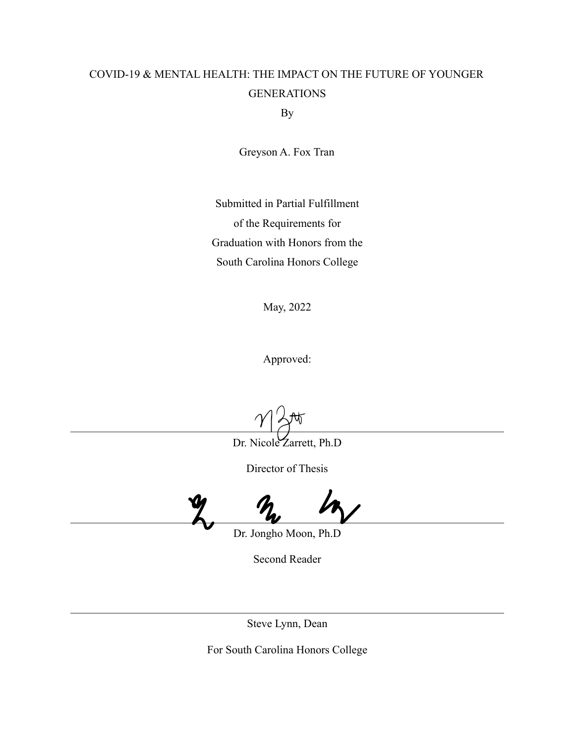# COVID-19 & MENTAL HEALTH: THE IMPACT ON THE FUTURE OF YOUNGER **GENERATIONS**

By

Greyson A. Fox Tran

Submitted in Partial Fulfillment of the Requirements for Graduation with Honors from the South Carolina Honors College

May, 2022

Approved:

Dr. Nicole Zarrett, Ph.D

Director of Thesis

Dr. Jongho Moon, Ph.D

Second Reader

Steve Lynn, Dean

For South Carolina Honors College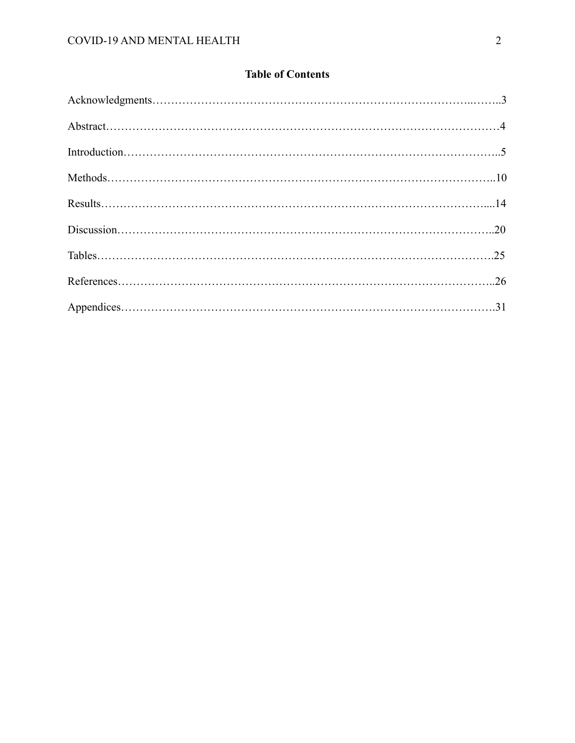# **Table of Contents**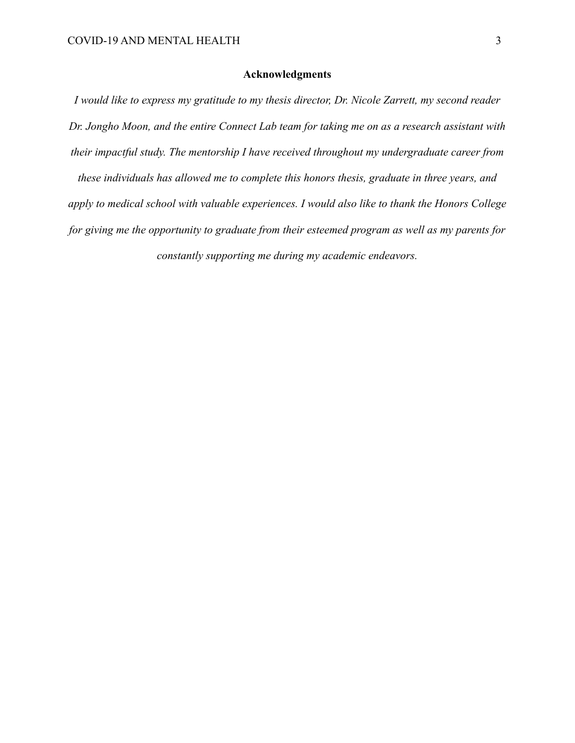### **Acknowledgments**

*I would like to express my gratitude to my thesis director, Dr. Nicole Zarrett, my second reader Dr. Jongho Moon, and the entire Connect Lab team for taking me on as a research assistant with their impactful study. The mentorship I have received throughout my undergraduate career from these individuals has allowed me to complete this honors thesis, graduate in three years, and apply to medical school with valuable experiences. I would also like to thank the Honors College for giving me the opportunity to graduate from their esteemed program as well as my parents for constantly supporting me during my academic endeavors.*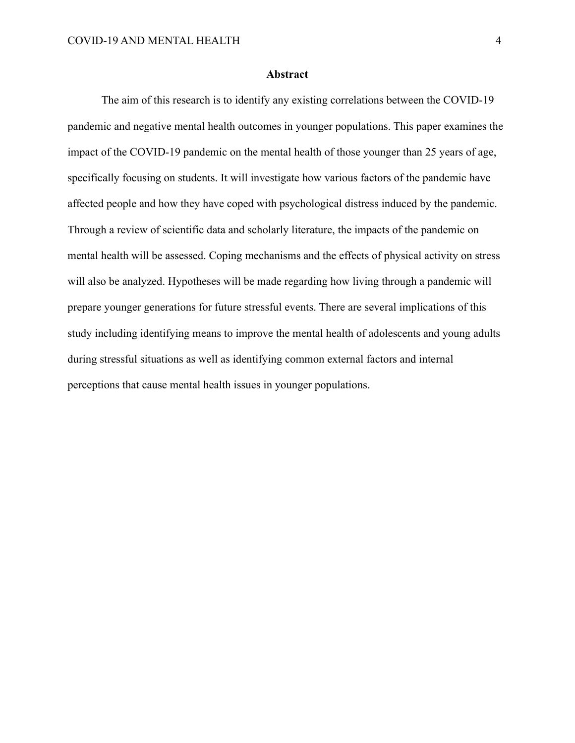#### **Abstract**

The aim of this research is to identify any existing correlations between the COVID-19 pandemic and negative mental health outcomes in younger populations. This paper examines the impact of the COVID-19 pandemic on the mental health of those younger than 25 years of age, specifically focusing on students. It will investigate how various factors of the pandemic have affected people and how they have coped with psychological distress induced by the pandemic. Through a review of scientific data and scholarly literature, the impacts of the pandemic on mental health will be assessed. Coping mechanisms and the effects of physical activity on stress will also be analyzed. Hypotheses will be made regarding how living through a pandemic will prepare younger generations for future stressful events. There are several implications of this study including identifying means to improve the mental health of adolescents and young adults during stressful situations as well as identifying common external factors and internal perceptions that cause mental health issues in younger populations.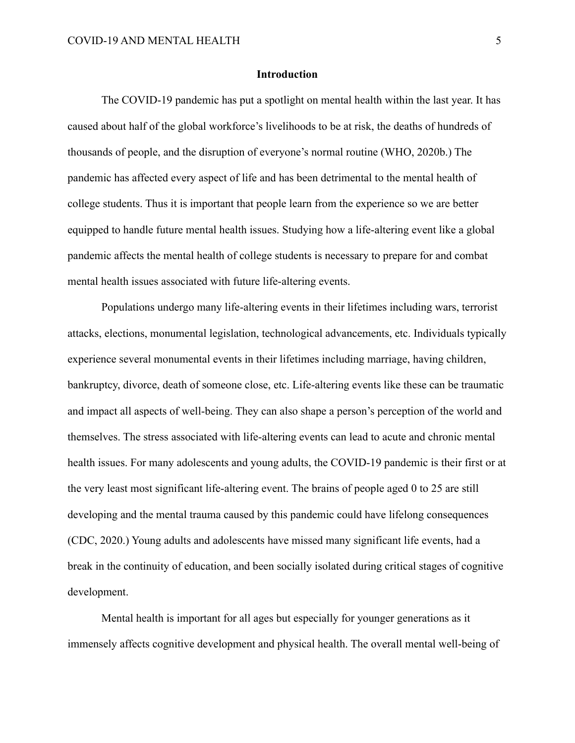#### **Introduction**

The COVID-19 pandemic has put a spotlight on mental health within the last year. It has caused about half of the global workforce's livelihoods to be at risk, the deaths of hundreds of thousands of people, and the disruption of everyone's normal routine (WHO, 2020b.) The pandemic has affected every aspect of life and has been detrimental to the mental health of college students. Thus it is important that people learn from the experience so we are better equipped to handle future mental health issues. Studying how a life-altering event like a global pandemic affects the mental health of college students is necessary to prepare for and combat mental health issues associated with future life-altering events.

Populations undergo many life-altering events in their lifetimes including wars, terrorist attacks, elections, monumental legislation, technological advancements, etc. Individuals typically experience several monumental events in their lifetimes including marriage, having children, bankruptcy, divorce, death of someone close, etc. Life-altering events like these can be traumatic and impact all aspects of well-being. They can also shape a person's perception of the world and themselves. The stress associated with life-altering events can lead to acute and chronic mental health issues. For many adolescents and young adults, the COVID-19 pandemic is their first or at the very least most significant life-altering event. The brains of people aged 0 to 25 are still developing and the mental trauma caused by this pandemic could have lifelong consequences (CDC, 2020.) Young adults and adolescents have missed many significant life events, had a break in the continuity of education, and been socially isolated during critical stages of cognitive development.

Mental health is important for all ages but especially for younger generations as it immensely affects cognitive development and physical health. The overall mental well-being of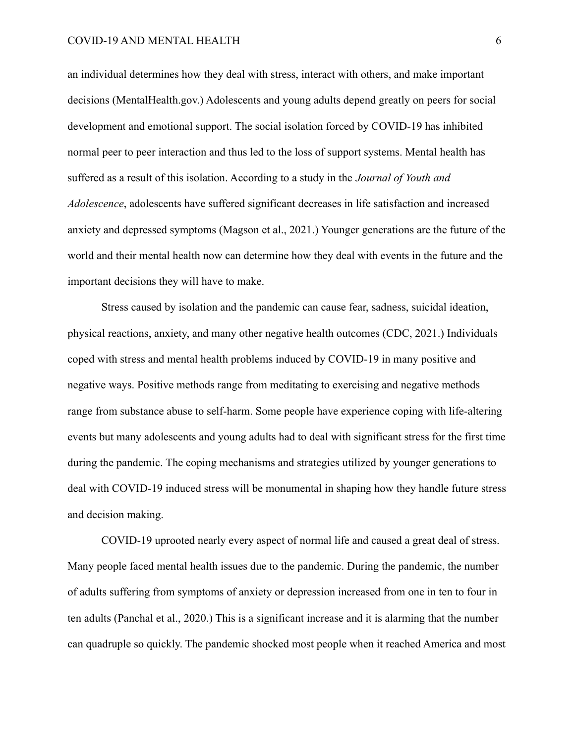an individual determines how they deal with stress, interact with others, and make important decisions (MentalHealth.gov.) Adolescents and young adults depend greatly on peers for social development and emotional support. The social isolation forced by COVID-19 has inhibited normal peer to peer interaction and thus led to the loss of support systems. Mental health has suffered as a result of this isolation. According to a study in the *Journal of Youth and Adolescence*, adolescents have suffered significant decreases in life satisfaction and increased anxiety and depressed symptoms (Magson et al., 2021.) Younger generations are the future of the world and their mental health now can determine how they deal with events in the future and the important decisions they will have to make.

Stress caused by isolation and the pandemic can cause fear, sadness, suicidal ideation, physical reactions, anxiety, and many other negative health outcomes (CDC, 2021.) Individuals coped with stress and mental health problems induced by COVID-19 in many positive and negative ways. Positive methods range from meditating to exercising and negative methods range from substance abuse to self-harm. Some people have experience coping with life-altering events but many adolescents and young adults had to deal with significant stress for the first time during the pandemic. The coping mechanisms and strategies utilized by younger generations to deal with COVID-19 induced stress will be monumental in shaping how they handle future stress and decision making.

COVID-19 uprooted nearly every aspect of normal life and caused a great deal of stress. Many people faced mental health issues due to the pandemic. During the pandemic, the number of adults suffering from symptoms of anxiety or depression increased from one in ten to four in ten adults (Panchal et al., 2020.) This is a significant increase and it is alarming that the number can quadruple so quickly. The pandemic shocked most people when it reached America and most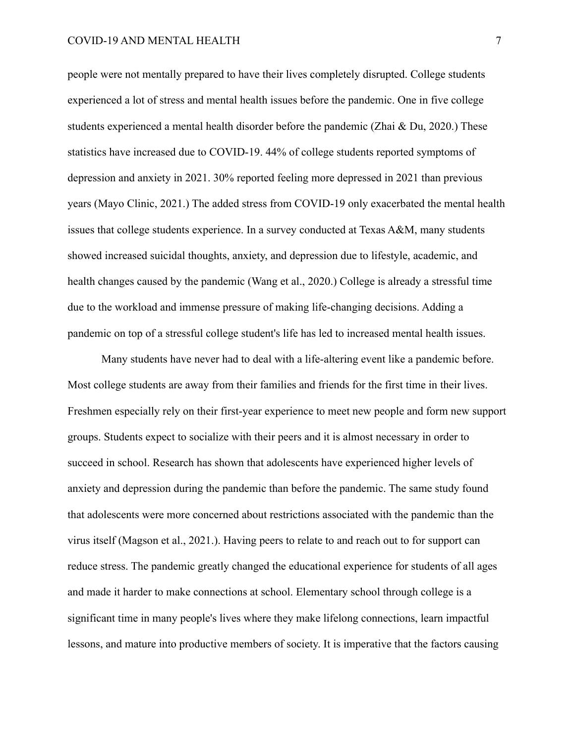people were not mentally prepared to have their lives completely disrupted. College students experienced a lot of stress and mental health issues before the pandemic. One in five college students experienced a mental health disorder before the pandemic (Zhai & Du, 2020.) These statistics have increased due to COVID-19. 44% of college students reported symptoms of depression and anxiety in 2021. 30% reported feeling more depressed in 2021 than previous years (Mayo Clinic, 2021.) The added stress from COVID-19 only exacerbated the mental health issues that college students experience. In a survey conducted at Texas A&M, many students showed increased suicidal thoughts, anxiety, and depression due to lifestyle, academic, and health changes caused by the pandemic (Wang et al., 2020.) College is already a stressful time due to the workload and immense pressure of making life-changing decisions. Adding a pandemic on top of a stressful college student's life has led to increased mental health issues.

Many students have never had to deal with a life-altering event like a pandemic before. Most college students are away from their families and friends for the first time in their lives. Freshmen especially rely on their first-year experience to meet new people and form new support groups. Students expect to socialize with their peers and it is almost necessary in order to succeed in school. Research has shown that adolescents have experienced higher levels of anxiety and depression during the pandemic than before the pandemic. The same study found that adolescents were more concerned about restrictions associated with the pandemic than the virus itself (Magson et al., 2021.). Having peers to relate to and reach out to for support can reduce stress. The pandemic greatly changed the educational experience for students of all ages and made it harder to make connections at school. Elementary school through college is a significant time in many people's lives where they make lifelong connections, learn impactful lessons, and mature into productive members of society. It is imperative that the factors causing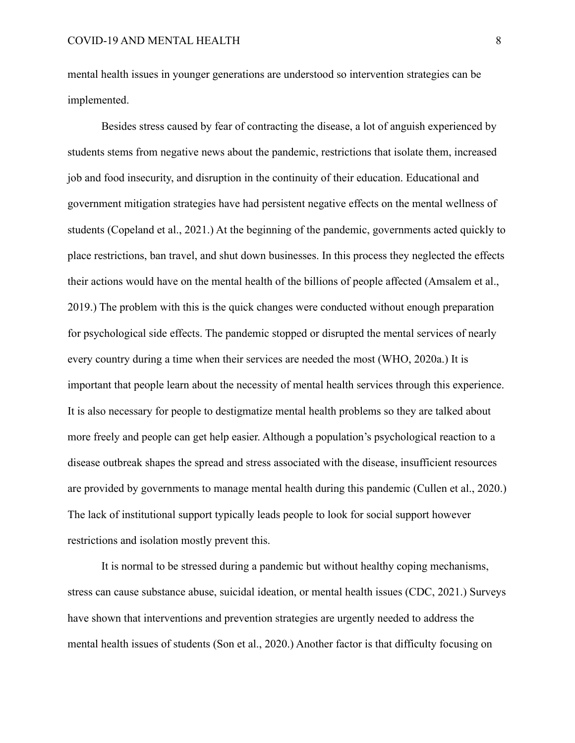mental health issues in younger generations are understood so intervention strategies can be implemented.

Besides stress caused by fear of contracting the disease, a lot of anguish experienced by students stems from negative news about the pandemic, restrictions that isolate them, increased job and food insecurity, and disruption in the continuity of their education. Educational and government mitigation strategies have had persistent negative effects on the mental wellness of students (Copeland et al., 2021.) At the beginning of the pandemic, governments acted quickly to place restrictions, ban travel, and shut down businesses. In this process they neglected the effects their actions would have on the mental health of the billions of people affected (Amsalem et al., 2019.) The problem with this is the quick changes were conducted without enough preparation for psychological side effects. The pandemic stopped or disrupted the mental services of nearly every country during a time when their services are needed the most (WHO, 2020a.) It is important that people learn about the necessity of mental health services through this experience. It is also necessary for people to destigmatize mental health problems so they are talked about more freely and people can get help easier. Although a population's psychological reaction to a disease outbreak shapes the spread and stress associated with the disease, insufficient resources are provided by governments to manage mental health during this pandemic (Cullen et al., 2020.) The lack of institutional support typically leads people to look for social support however restrictions and isolation mostly prevent this.

It is normal to be stressed during a pandemic but without healthy coping mechanisms, stress can cause substance abuse, suicidal ideation, or mental health issues (CDC, 2021.) Surveys have shown that interventions and prevention strategies are urgently needed to address the mental health issues of students (Son et al., 2020.) Another factor is that difficulty focusing on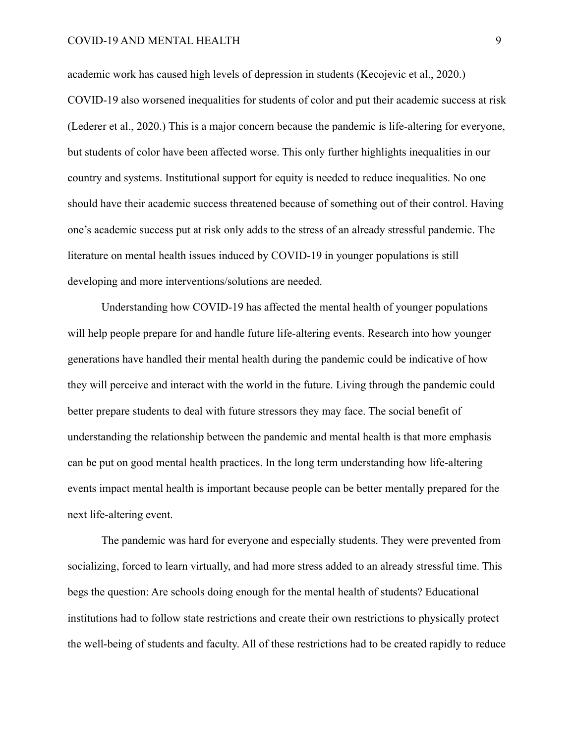### COVID-19 AND MENTAL HEALTH 9

academic work has caused high levels of depression in students (Kecojevic et al., 2020.) COVID-19 also worsened inequalities for students of color and put their academic success at risk (Lederer et al., 2020.) This is a major concern because the pandemic is life-altering for everyone, but students of color have been affected worse. This only further highlights inequalities in our country and systems. Institutional support for equity is needed to reduce inequalities. No one should have their academic success threatened because of something out of their control. Having one's academic success put at risk only adds to the stress of an already stressful pandemic. The literature on mental health issues induced by COVID-19 in younger populations is still developing and more interventions/solutions are needed.

Understanding how COVID-19 has affected the mental health of younger populations will help people prepare for and handle future life-altering events. Research into how younger generations have handled their mental health during the pandemic could be indicative of how they will perceive and interact with the world in the future. Living through the pandemic could better prepare students to deal with future stressors they may face. The social benefit of understanding the relationship between the pandemic and mental health is that more emphasis can be put on good mental health practices. In the long term understanding how life-altering events impact mental health is important because people can be better mentally prepared for the next life-altering event.

The pandemic was hard for everyone and especially students. They were prevented from socializing, forced to learn virtually, and had more stress added to an already stressful time. This begs the question: Are schools doing enough for the mental health of students? Educational institutions had to follow state restrictions and create their own restrictions to physically protect the well-being of students and faculty. All of these restrictions had to be created rapidly to reduce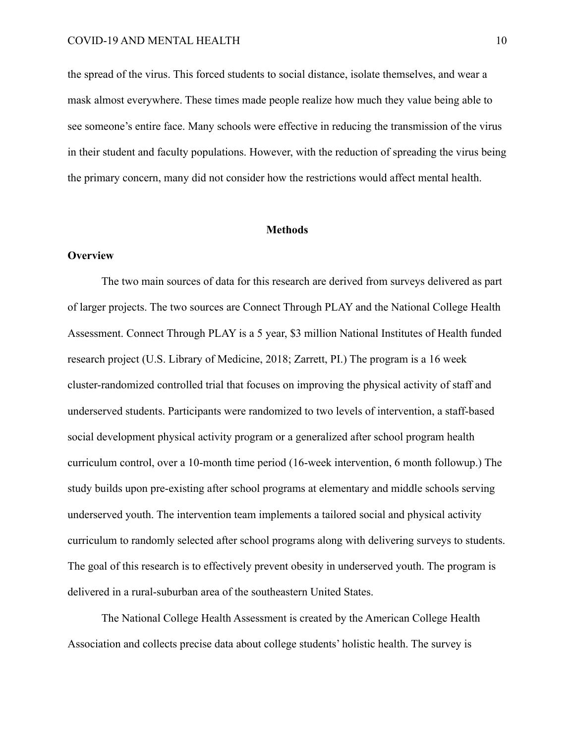the spread of the virus. This forced students to social distance, isolate themselves, and wear a mask almost everywhere. These times made people realize how much they value being able to see someone's entire face. Many schools were effective in reducing the transmission of the virus in their student and faculty populations. However, with the reduction of spreading the virus being the primary concern, many did not consider how the restrictions would affect mental health.

#### **Methods**

#### **Overview**

The two main sources of data for this research are derived from surveys delivered as part of larger projects. The two sources are Connect Through PLAY and the National College Health Assessment. Connect Through PLAY is a 5 year, \$3 million National Institutes of Health funded research project (U.S. Library of Medicine, 2018; Zarrett, PI.) The program is a 16 week cluster-randomized controlled trial that focuses on improving the physical activity of staff and underserved students. Participants were randomized to two levels of intervention, a staff-based social development physical activity program or a generalized after school program health curriculum control, over a 10-month time period (16-week intervention, 6 month followup.) The study builds upon pre-existing after school programs at elementary and middle schools serving underserved youth. The intervention team implements a tailored social and physical activity curriculum to randomly selected after school programs along with delivering surveys to students. The goal of this research is to effectively prevent obesity in underserved youth. The program is delivered in a rural-suburban area of the southeastern United States.

The National College Health Assessment is created by the American College Health Association and collects precise data about college students' holistic health. The survey is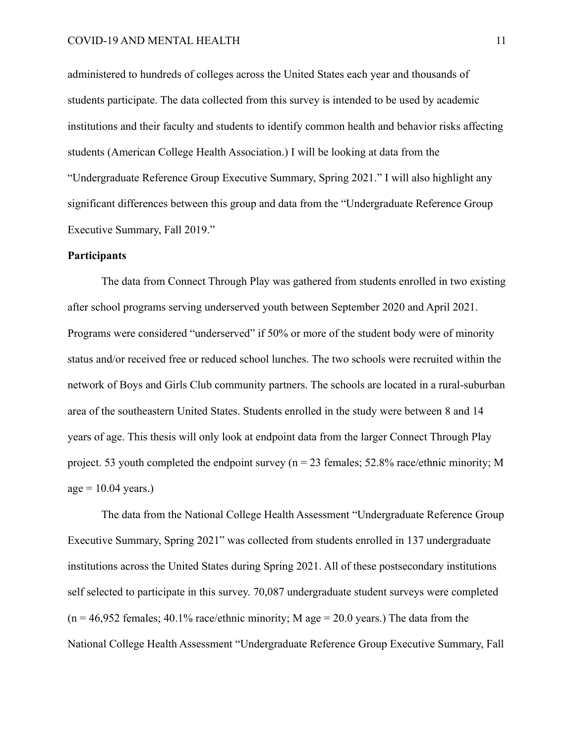administered to hundreds of colleges across the United States each year and thousands of students participate. The data collected from this survey is intended to be used by academic institutions and their faculty and students to identify common health and behavior risks affecting students (American College Health Association.) I will be looking at data from the "Undergraduate Reference Group Executive Summary, Spring 2021." I will also highlight any significant differences between this group and data from the "Undergraduate Reference Group Executive Summary, Fall 2019."

#### **Participants**

The data from Connect Through Play was gathered from students enrolled in two existing after school programs serving underserved youth between September 2020 and April 2021. Programs were considered "underserved" if 50% or more of the student body were of minority status and/or received free or reduced school lunches. The two schools were recruited within the network of Boys and Girls Club community partners. The schools are located in a rural-suburban area of the southeastern United States. Students enrolled in the study were between 8 and 14 years of age. This thesis will only look at endpoint data from the larger Connect Through Play project. 53 youth completed the endpoint survey ( $n = 23$  females; 52.8% race/ethnic minority; M  $age = 10.04 \text{ years.}$ 

The data from the National College Health Assessment "Undergraduate Reference Group Executive Summary, Spring 2021" was collected from students enrolled in 137 undergraduate institutions across the United States during Spring 2021. All of these postsecondary institutions self selected to participate in this survey. 70,087 undergraduate student surveys were completed  $(n = 46.952$  females; 40.1% race/ethnic minority; M age = 20.0 years.) The data from the National College Health Assessment "Undergraduate Reference Group Executive Summary, Fall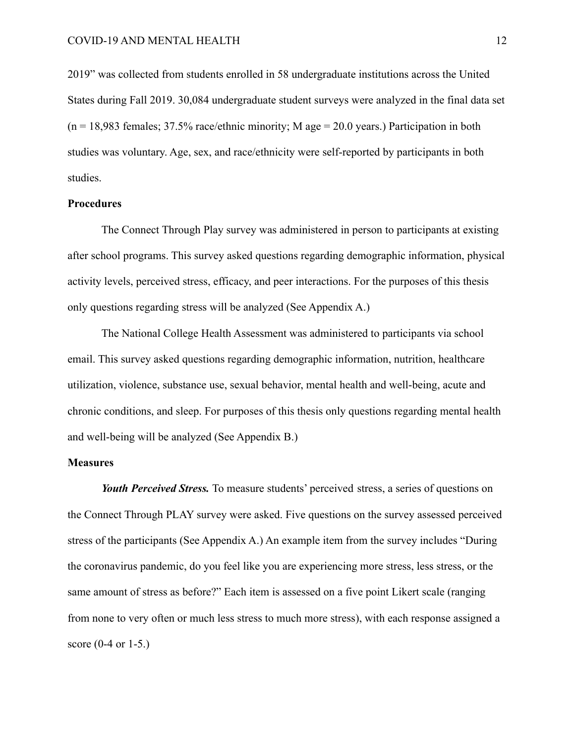2019" was collected from students enrolled in 58 undergraduate institutions across the United States during Fall 2019. 30,084 undergraduate student surveys were analyzed in the final data set  $(n = 18.983$  females; 37.5% race/ethnic minority; M age = 20.0 years.) Participation in both studies was voluntary. Age, sex, and race/ethnicity were self-reported by participants in both studies.

#### **Procedures**

The Connect Through Play survey was administered in person to participants at existing after school programs. This survey asked questions regarding demographic information, physical activity levels, perceived stress, efficacy, and peer interactions. For the purposes of this thesis only questions regarding stress will be analyzed (See Appendix A.)

The National College Health Assessment was administered to participants via school email. This survey asked questions regarding demographic information, nutrition, healthcare utilization, violence, substance use, sexual behavior, mental health and well-being, acute and chronic conditions, and sleep. For purposes of this thesis only questions regarding mental health and well-being will be analyzed (See Appendix B.)

#### **Measures**

*Youth Perceived Stress.* To measure students' perceived stress, a series of questions on the Connect Through PLAY survey were asked. Five questions on the survey assessed perceived stress of the participants (See Appendix A.) An example item from the survey includes "During the coronavirus pandemic, do you feel like you are experiencing more stress, less stress, or the same amount of stress as before?" Each item is assessed on a five point Likert scale (ranging from none to very often or much less stress to much more stress), with each response assigned a score (0-4 or 1-5.)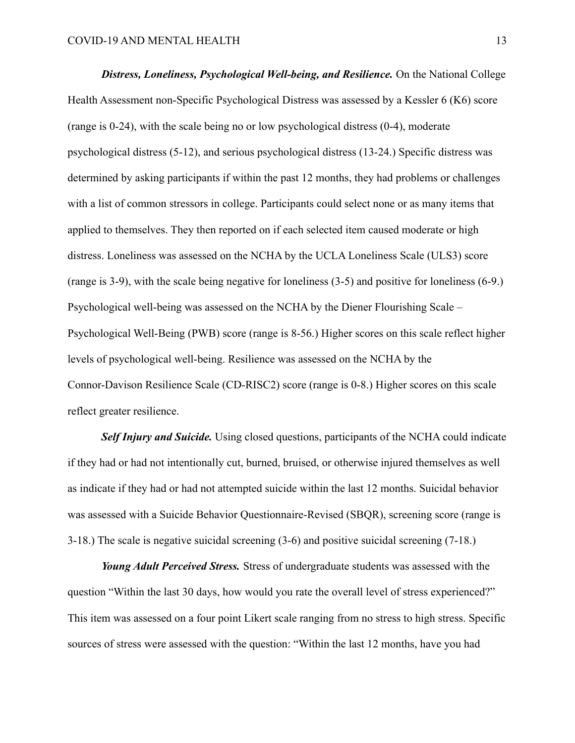*Distress, Loneliness, Psychological Well-being, and Resilience.* On the National College Health Assessment non-Specific Psychological Distress was assessed by a Kessler 6 (K6) score (range is 0-24), with the scale being no or low psychological distress (0-4), moderate psychological distress (5-12), and serious psychological distress (13-24.) Specific distress was determined by asking participants if within the past 12 months, they had problems or challenges with a list of common stressors in college. Participants could select none or as many items that applied to themselves. They then reported on if each selected item caused moderate or high distress. Loneliness was assessed on the NCHA by the UCLA Loneliness Scale (ULS3) score (range is 3-9), with the scale being negative for loneliness (3-5) and positive for loneliness (6-9.) Psychological well-being was assessed on the NCHA by the Diener Flourishing Scale – Psychological Well-Being (PWB) score (range is 8-56.) Higher scores on this scale reflect higher levels of psychological well-being. Resilience was assessed on the NCHA by the Connor-Davison Resilience Scale (CD-RISC2) score (range is 0-8.) Higher scores on this scale reflect greater resilience.

*Self Injury and Suicide.* Using closed questions, participants of the NCHA could indicate if they had or had not intentionally cut, burned, bruised, or otherwise injured themselves as well as indicate if they had or had not attempted suicide within the last 12 months. Suicidal behavior was assessed with a Suicide Behavior Questionnaire-Revised (SBQR), screening score (range is 3-18.) The scale is negative suicidal screening (3-6) and positive suicidal screening (7-18.)

*Young Adult Perceived Stress.* Stress of undergraduate students was assessed with the question "Within the last 30 days, how would you rate the overall level of stress experienced?" This item was assessed on a four point Likert scale ranging from no stress to high stress. Specific sources of stress were assessed with the question: "Within the last 12 months, have you had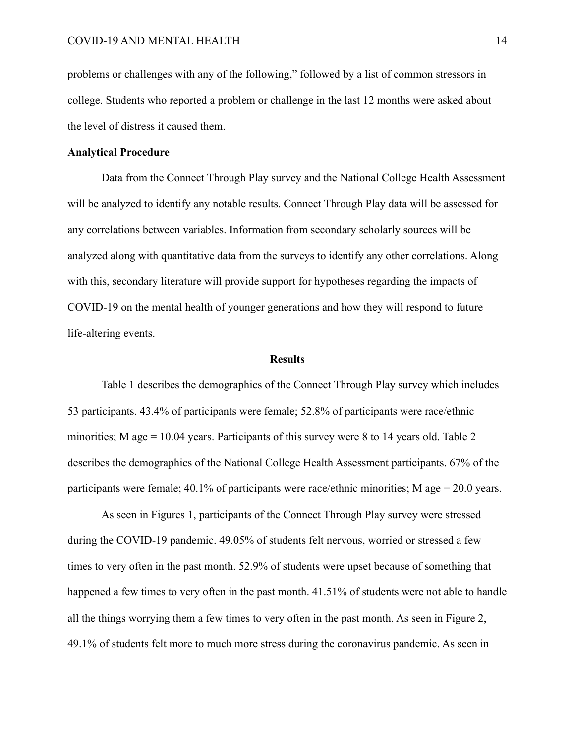problems or challenges with any of the following," followed by a list of common stressors in college. Students who reported a problem or challenge in the last 12 months were asked about the level of distress it caused them.

#### **Analytical Procedure**

Data from the Connect Through Play survey and the National College Health Assessment will be analyzed to identify any notable results. Connect Through Play data will be assessed for any correlations between variables. Information from secondary scholarly sources will be analyzed along with quantitative data from the surveys to identify any other correlations. Along with this, secondary literature will provide support for hypotheses regarding the impacts of COVID-19 on the mental health of younger generations and how they will respond to future life-altering events.

#### **Results**

Table 1 describes the demographics of the Connect Through Play survey which includes 53 participants. 43.4% of participants were female; 52.8% of participants were race/ethnic minorities; M age = 10.04 years. Participants of this survey were 8 to 14 years old. Table 2 describes the demographics of the National College Health Assessment participants. 67% of the participants were female; 40.1% of participants were race/ethnic minorities; M age = 20.0 years.

As seen in Figures 1, participants of the Connect Through Play survey were stressed during the COVID-19 pandemic. 49.05% of students felt nervous, worried or stressed a few times to very often in the past month. 52.9% of students were upset because of something that happened a few times to very often in the past month. 41.51% of students were not able to handle all the things worrying them a few times to very often in the past month. As seen in Figure 2, 49.1% of students felt more to much more stress during the coronavirus pandemic. As seen in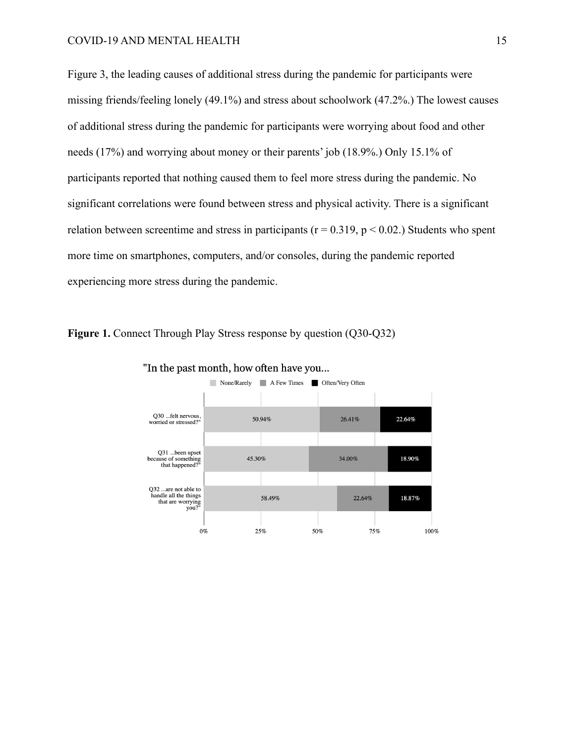Figure 3, the leading causes of additional stress during the pandemic for participants were missing friends/feeling lonely (49.1%) and stress about schoolwork (47.2%.) The lowest causes of additional stress during the pandemic for participants were worrying about food and other needs (17%) and worrying about money or their parents' job (18.9%.) Only 15.1% of participants reported that nothing caused them to feel more stress during the pandemic. No significant correlations were found between stress and physical activity. There is a significant relation between screentime and stress in participants ( $r = 0.319$ ,  $p < 0.02$ .) Students who spent more time on smartphones, computers, and/or consoles, during the pandemic reported experiencing more stress during the pandemic.

**Figure 1.** Connect Through Play Stress response by question (Q30-Q32)



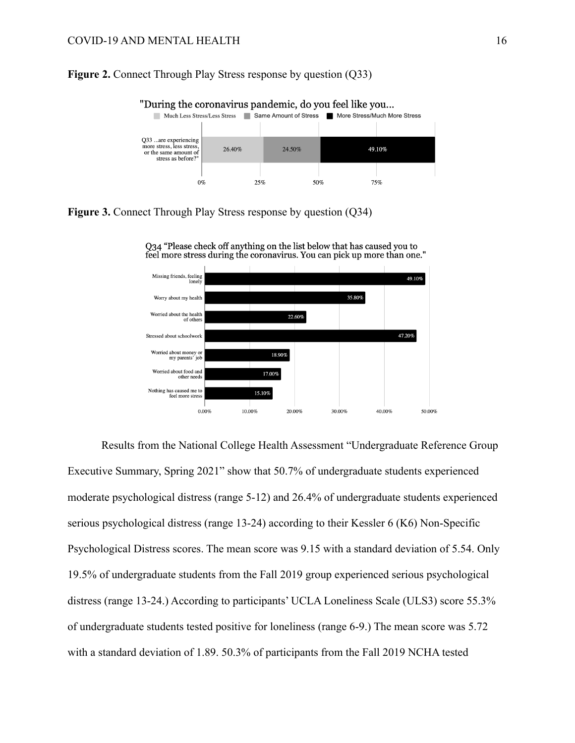#### **Figure 2.** Connect Through Play Stress response by question (Q33)



"During the coronavirus pandemic, do you feel like you...

**Figure 3.** Connect Through Play Stress response by question (Q34)





Results from the National College Health Assessment "Undergraduate Reference Group Executive Summary, Spring 2021" show that 50.7% of undergraduate students experienced moderate psychological distress (range 5-12) and 26.4% of undergraduate students experienced serious psychological distress (range 13-24) according to their Kessler 6 (K6) Non-Specific Psychological Distress scores. The mean score was 9.15 with a standard deviation of 5.54. Only 19.5% of undergraduate students from the Fall 2019 group experienced serious psychological distress (range 13-24.) According to participants' UCLA Loneliness Scale (ULS3) score 55.3% of undergraduate students tested positive for loneliness (range 6-9.) The mean score was 5.72 with a standard deviation of 1.89. 50.3% of participants from the Fall 2019 NCHA tested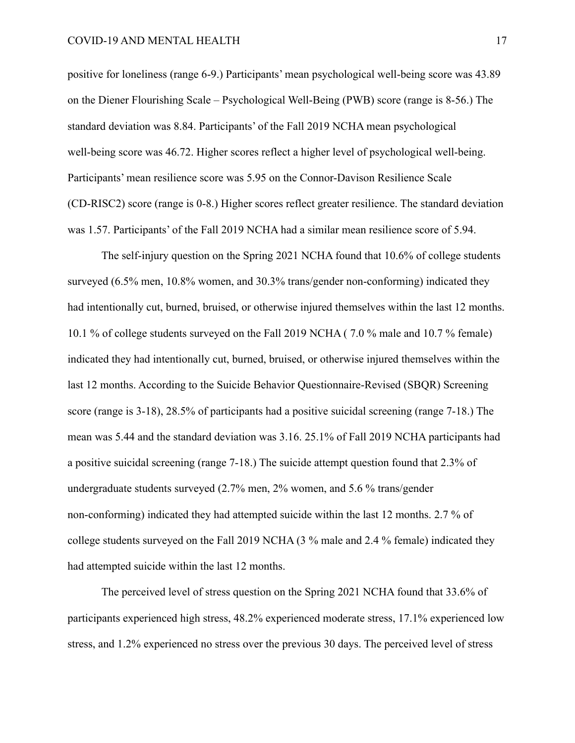positive for loneliness (range 6-9.) Participants' mean psychological well-being score was 43.89 on the Diener Flourishing Scale – Psychological Well-Being (PWB) score (range is 8-56.) The standard deviation was 8.84. Participants' of the Fall 2019 NCHA mean psychological well-being score was 46.72. Higher scores reflect a higher level of psychological well-being. Participants' mean resilience score was 5.95 on the Connor-Davison Resilience Scale (CD-RISC2) score (range is 0-8.) Higher scores reflect greater resilience. The standard deviation was 1.57. Participants' of the Fall 2019 NCHA had a similar mean resilience score of 5.94.

The self-injury question on the Spring 2021 NCHA found that 10.6% of college students surveyed (6.5% men, 10.8% women, and 30.3% trans/gender non-conforming) indicated they had intentionally cut, burned, bruised, or otherwise injured themselves within the last 12 months. 10.1 % of college students surveyed on the Fall 2019 NCHA ( 7.0 % male and 10.7 % female) indicated they had intentionally cut, burned, bruised, or otherwise injured themselves within the last 12 months. According to the Suicide Behavior Questionnaire-Revised (SBQR) Screening score (range is 3-18), 28.5% of participants had a positive suicidal screening (range 7-18.) The mean was 5.44 and the standard deviation was 3.16. 25.1% of Fall 2019 NCHA participants had a positive suicidal screening (range 7-18.) The suicide attempt question found that 2.3% of undergraduate students surveyed (2.7% men, 2% women, and 5.6 % trans/gender non-conforming) indicated they had attempted suicide within the last 12 months. 2.7 % of college students surveyed on the Fall 2019 NCHA (3 % male and 2.4 % female) indicated they had attempted suicide within the last 12 months.

The perceived level of stress question on the Spring 2021 NCHA found that 33.6% of participants experienced high stress, 48.2% experienced moderate stress, 17.1% experienced low stress, and 1.2% experienced no stress over the previous 30 days. The perceived level of stress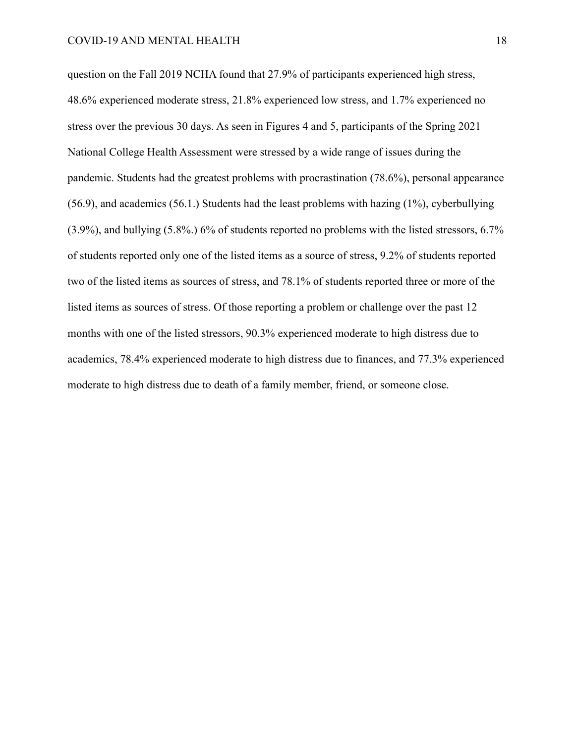question on the Fall 2019 NCHA found that 27.9% of participants experienced high stress, 48.6% experienced moderate stress, 21.8% experienced low stress, and 1.7% experienced no stress over the previous 30 days. As seen in Figures 4 and 5, participants of the Spring 2021 National College Health Assessment were stressed by a wide range of issues during the pandemic. Students had the greatest problems with procrastination (78.6%), personal appearance (56.9), and academics (56.1.) Students had the least problems with hazing (1%), cyberbullying (3.9%), and bullying (5.8%.) 6% of students reported no problems with the listed stressors, 6.7% of students reported only one of the listed items as a source of stress, 9.2% of students reported two of the listed items as sources of stress, and 78.1% of students reported three or more of the listed items as sources of stress. Of those reporting a problem or challenge over the past 12 months with one of the listed stressors, 90.3% experienced moderate to high distress due to academics, 78.4% experienced moderate to high distress due to finances, and 77.3% experienced moderate to high distress due to death of a family member, friend, or someone close.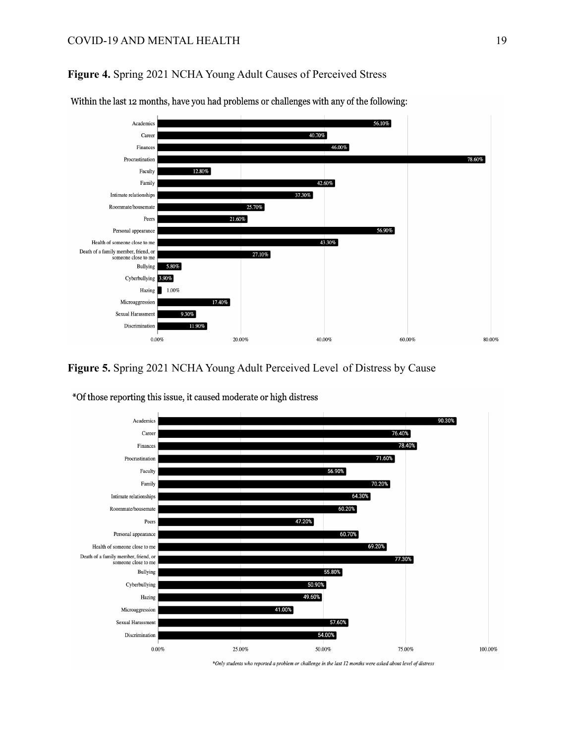## **Figure 4.** Spring 2021 NCHA Young Adult Causes of Perceived Stress



Within the last 12 months, have you had problems or challenges with any of the following:

# **Figure 5.** Spring 2021 NCHA Young Adult Perceived Level of Distress by Cause



\*Of those reporting this issue, it caused moderate or high distress

\*Only students who reported a problem or challenge in the last 12 months were asked about level of distress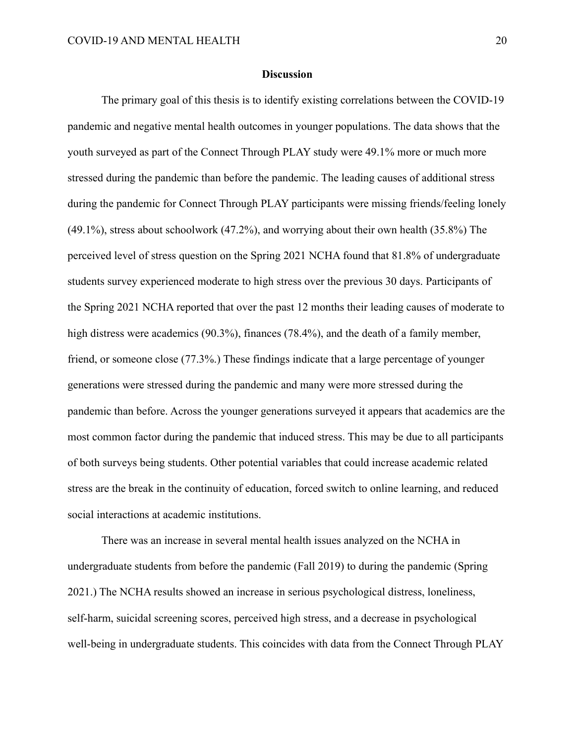#### **Discussion**

The primary goal of this thesis is to identify existing correlations between the COVID-19 pandemic and negative mental health outcomes in younger populations. The data shows that the youth surveyed as part of the Connect Through PLAY study were 49.1% more or much more stressed during the pandemic than before the pandemic. The leading causes of additional stress during the pandemic for Connect Through PLAY participants were missing friends/feeling lonely (49.1%), stress about schoolwork (47.2%), and worrying about their own health (35.8%) The perceived level of stress question on the Spring 2021 NCHA found that 81.8% of undergraduate students survey experienced moderate to high stress over the previous 30 days. Participants of the Spring 2021 NCHA reported that over the past 12 months their leading causes of moderate to high distress were academics (90.3%), finances (78.4%), and the death of a family member, friend, or someone close (77.3%.) These findings indicate that a large percentage of younger generations were stressed during the pandemic and many were more stressed during the pandemic than before. Across the younger generations surveyed it appears that academics are the most common factor during the pandemic that induced stress. This may be due to all participants of both surveys being students. Other potential variables that could increase academic related stress are the break in the continuity of education, forced switch to online learning, and reduced social interactions at academic institutions.

There was an increase in several mental health issues analyzed on the NCHA in undergraduate students from before the pandemic (Fall 2019) to during the pandemic (Spring 2021.) The NCHA results showed an increase in serious psychological distress, loneliness, self-harm, suicidal screening scores, perceived high stress, and a decrease in psychological well-being in undergraduate students. This coincides with data from the Connect Through PLAY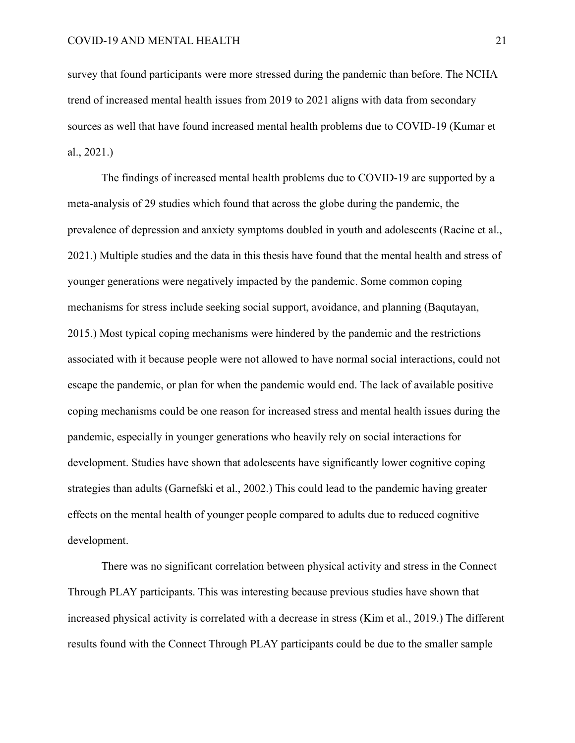survey that found participants were more stressed during the pandemic than before. The NCHA trend of increased mental health issues from 2019 to 2021 aligns with data from secondary sources as well that have found increased mental health problems due to COVID-19 (Kumar et al., 2021.)

The findings of increased mental health problems due to COVID-19 are supported by a meta-analysis of 29 studies which found that across the globe during the pandemic, the prevalence of depression and anxiety symptoms doubled in youth and adolescents (Racine et al., 2021.) Multiple studies and the data in this thesis have found that the mental health and stress of younger generations were negatively impacted by the pandemic. Some common coping mechanisms for stress include seeking social support, avoidance, and planning (Baqutayan, 2015.) Most typical coping mechanisms were hindered by the pandemic and the restrictions associated with it because people were not allowed to have normal social interactions, could not escape the pandemic, or plan for when the pandemic would end. The lack of available positive coping mechanisms could be one reason for increased stress and mental health issues during the pandemic, especially in younger generations who heavily rely on social interactions for development. Studies have shown that adolescents have significantly lower cognitive coping strategies than adults (Garnefski et al., 2002.) This could lead to the pandemic having greater effects on the mental health of younger people compared to adults due to reduced cognitive development.

There was no significant correlation between physical activity and stress in the Connect Through PLAY participants. This was interesting because previous studies have shown that increased physical activity is correlated with a decrease in stress (Kim et al., 2019.) The different results found with the Connect Through PLAY participants could be due to the smaller sample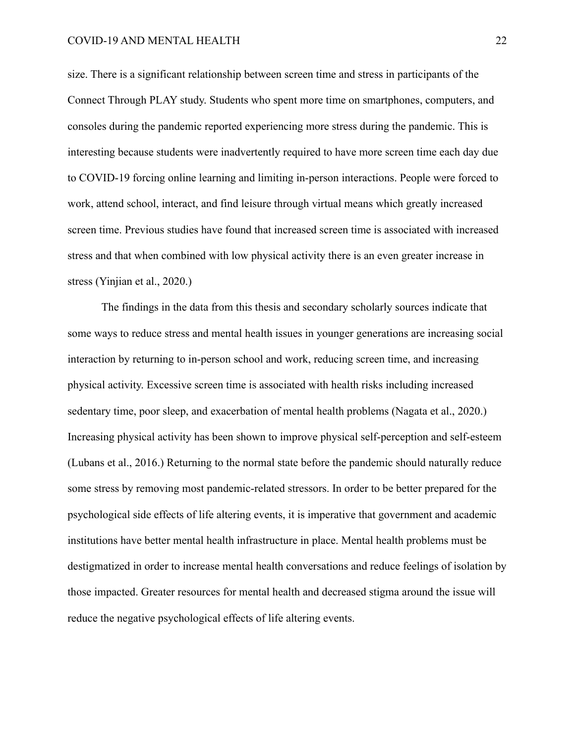size. There is a significant relationship between screen time and stress in participants of the Connect Through PLAY study. Students who spent more time on smartphones, computers, and consoles during the pandemic reported experiencing more stress during the pandemic. This is interesting because students were inadvertently required to have more screen time each day due to COVID-19 forcing online learning and limiting in-person interactions. People were forced to work, attend school, interact, and find leisure through virtual means which greatly increased screen time. Previous studies have found that increased screen time is associated with increased stress and that when combined with low physical activity there is an even greater increase in stress (Yinjian et al., 2020.)

The findings in the data from this thesis and secondary scholarly sources indicate that some ways to reduce stress and mental health issues in younger generations are increasing social interaction by returning to in-person school and work, reducing screen time, and increasing physical activity. Excessive screen time is associated with health risks including increased sedentary time, poor sleep, and exacerbation of mental health problems (Nagata et al., 2020.) Increasing physical activity has been shown to improve physical self-perception and self-esteem (Lubans et al., 2016.) Returning to the normal state before the pandemic should naturally reduce some stress by removing most pandemic-related stressors. In order to be better prepared for the psychological side effects of life altering events, it is imperative that government and academic institutions have better mental health infrastructure in place. Mental health problems must be destigmatized in order to increase mental health conversations and reduce feelings of isolation by those impacted. Greater resources for mental health and decreased stigma around the issue will reduce the negative psychological effects of life altering events.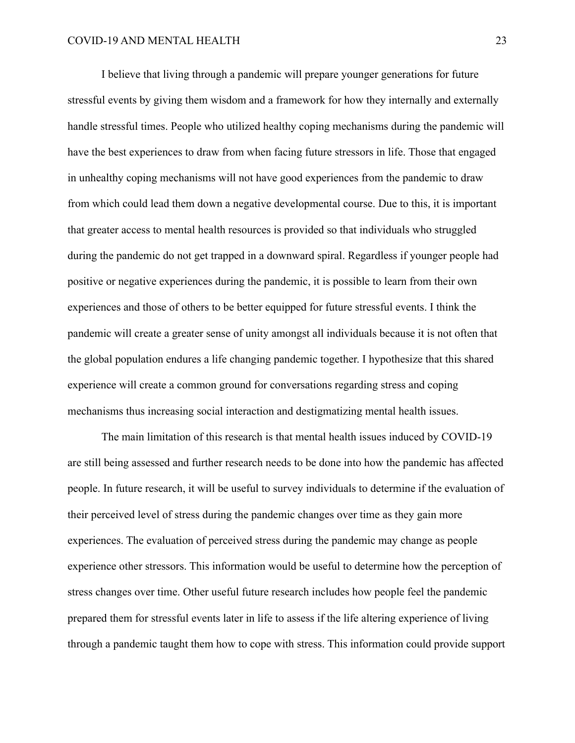I believe that living through a pandemic will prepare younger generations for future stressful events by giving them wisdom and a framework for how they internally and externally handle stressful times. People who utilized healthy coping mechanisms during the pandemic will have the best experiences to draw from when facing future stressors in life. Those that engaged in unhealthy coping mechanisms will not have good experiences from the pandemic to draw from which could lead them down a negative developmental course. Due to this, it is important that greater access to mental health resources is provided so that individuals who struggled during the pandemic do not get trapped in a downward spiral. Regardless if younger people had positive or negative experiences during the pandemic, it is possible to learn from their own experiences and those of others to be better equipped for future stressful events. I think the pandemic will create a greater sense of unity amongst all individuals because it is not often that the global population endures a life changing pandemic together. I hypothesize that this shared experience will create a common ground for conversations regarding stress and coping mechanisms thus increasing social interaction and destigmatizing mental health issues.

The main limitation of this research is that mental health issues induced by COVID-19 are still being assessed and further research needs to be done into how the pandemic has affected people. In future research, it will be useful to survey individuals to determine if the evaluation of their perceived level of stress during the pandemic changes over time as they gain more experiences. The evaluation of perceived stress during the pandemic may change as people experience other stressors. This information would be useful to determine how the perception of stress changes over time. Other useful future research includes how people feel the pandemic prepared them for stressful events later in life to assess if the life altering experience of living through a pandemic taught them how to cope with stress. This information could provide support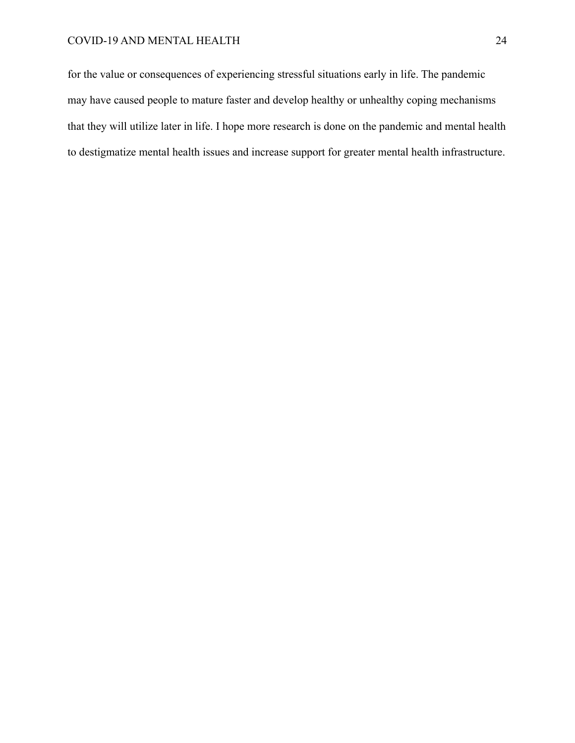## COVID-19 AND MENTAL HEALTH 24

for the value or consequences of experiencing stressful situations early in life. The pandemic may have caused people to mature faster and develop healthy or unhealthy coping mechanisms that they will utilize later in life. I hope more research is done on the pandemic and mental health to destigmatize mental health issues and increase support for greater mental health infrastructure.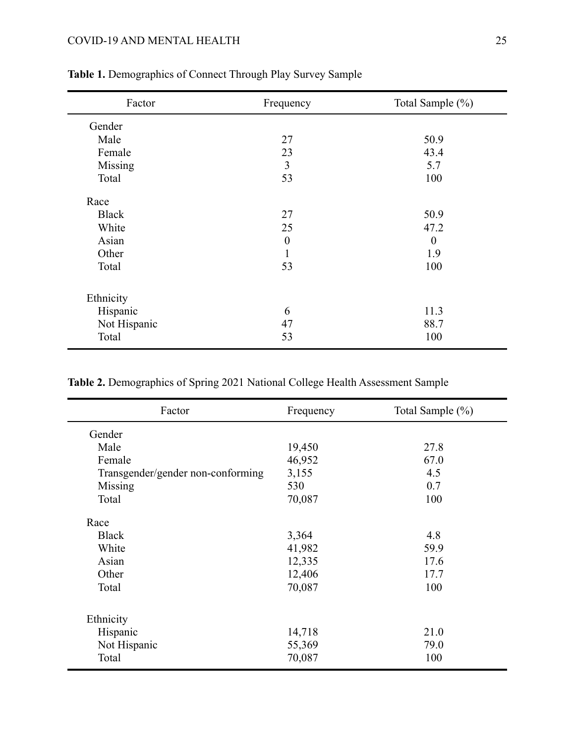# COVID-19 AND MENTAL HEALTH 25

| Factor       | Frequency        | Total Sample (%) |
|--------------|------------------|------------------|
| Gender       |                  |                  |
| Male         | 27               | 50.9             |
| Female       | 23               | 43.4             |
| Missing      | 3                | 5.7              |
| Total        | 53               | 100              |
| Race         |                  |                  |
| <b>Black</b> | 27               | 50.9             |
| White        | 25               | 47.2             |
| Asian        | $\boldsymbol{0}$ | $\theta$         |
| Other        | 1                | 1.9              |
| Total        | 53               | 100              |
| Ethnicity    |                  |                  |
| Hispanic     | 6                | 11.3             |
| Not Hispanic | 47               | 88.7             |
| Total        | 53               | 100              |

# **Table 1.** Demographics of Connect Through Play Survey Sample

| Table 2. Demographics of Spring 2021 National College Health Assessment Sample |
|--------------------------------------------------------------------------------|
|--------------------------------------------------------------------------------|

| Factor                            | Frequency | Total Sample (%) |
|-----------------------------------|-----------|------------------|
| Gender                            |           |                  |
| Male                              | 19,450    | 27.8             |
| Female                            | 46,952    | 67.0             |
| Transgender/gender non-conforming | 3,155     | 4.5              |
| Missing                           | 530       | 0.7              |
| Total                             | 70,087    | 100              |
| Race                              |           |                  |
| <b>Black</b>                      | 3,364     | 4.8              |
| White                             | 41,982    | 59.9             |
| Asian                             | 12,335    | 17.6             |
| Other                             | 12,406    | 17.7             |
| Total                             | 70,087    | 100              |
| Ethnicity                         |           |                  |
| Hispanic                          | 14,718    | 21.0             |
| Not Hispanic                      | 55,369    | 79.0             |
| Total                             | 70,087    | 100              |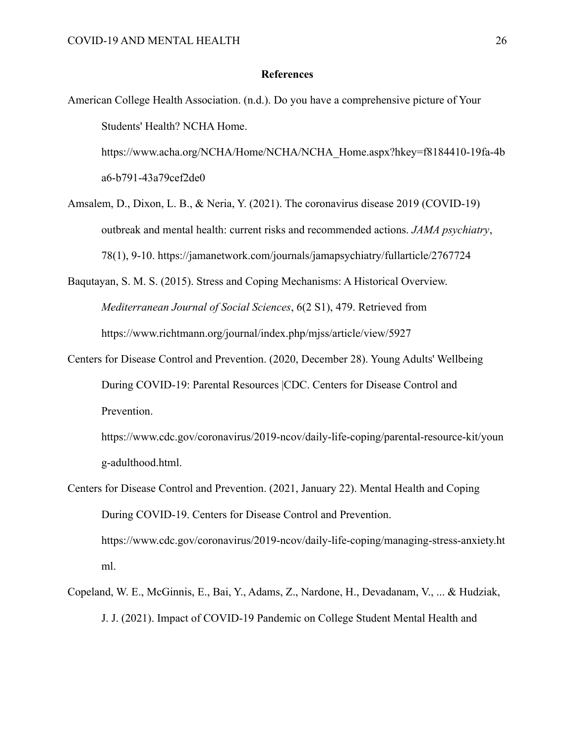#### **References**

- American College Health Association. (n.d.). Do you have a comprehensive picture of Your Students' Health? NCHA Home. https://www.acha.org/NCHA/Home/NCHA/NCHA\_Home.aspx?hkey=f8184410-19fa-4b a6-b791-43a79cef2de0
- Amsalem, D., Dixon, L. B., & Neria, Y. (2021). The coronavirus disease 2019 (COVID-19) outbreak and mental health: current risks and recommended actions. *JAMA psychiatry*, 78(1), 9-10. https://jamanetwork.com/journals/jamapsychiatry/fullarticle/2767724
- Baqutayan, S. M. S. (2015). Stress and Coping Mechanisms: A Historical Overview. *Mediterranean Journal of Social Sciences*, 6(2 S1), 479. Retrieved from https://www.richtmann.org/journal/index.php/mjss/article/view/5927
- Centers for Disease Control and Prevention. (2020, December 28). Young Adults' Wellbeing During COVID-19: Parental Resources |CDC. Centers for Disease Control and Prevention.

https://www.cdc.gov/coronavirus/2019-ncov/daily-life-coping/parental-resource-kit/youn g-adulthood.html.

- Centers for Disease Control and Prevention. (2021, January 22). Mental Health and Coping During COVID-19. Centers for Disease Control and Prevention. https://www.cdc.gov/coronavirus/2019-ncov/daily-life-coping/managing-stress-anxiety.ht ml.
- Copeland, W. E., McGinnis, E., Bai, Y., Adams, Z., Nardone, H., Devadanam, V., ... & Hudziak, J. J. (2021). Impact of COVID-19 Pandemic on College Student Mental Health and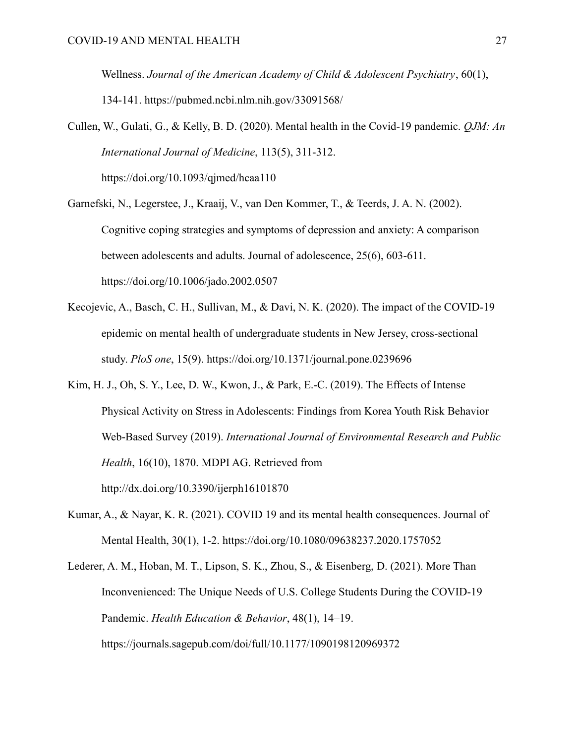Wellness. *Journal of the American Academy of Child & Adolescent Psychiatry*, 60(1), 134-141. https://pubmed.ncbi.nlm.nih.gov/33091568/

Cullen, W., Gulati, G., & Kelly, B. D. (2020). Mental health in the Covid-19 pandemic. *QJM: An International Journal of Medicine*, 113(5), 311-312. https://doi.org/10.1093/qjmed/hcaa110

Garnefski, N., Legerstee, J., Kraaij, V., van Den Kommer, T., & Teerds, J. A. N. (2002). Cognitive coping strategies and symptoms of depression and anxiety: A comparison between adolescents and adults. Journal of adolescence, 25(6), 603-611.

https://doi.org/10.1006/jado.2002.0507

- Kecojevic, A., Basch, C. H., Sullivan, M., & Davi, N. K. (2020). The impact of the COVID-19 epidemic on mental health of undergraduate students in New Jersey, cross-sectional study. *PloS one*, 15(9). https://doi.org/10.1371/journal.pone.0239696
- Kim, H. J., Oh, S. Y., Lee, D. W., Kwon, J., & Park, E.-C. (2019). The Effects of Intense Physical Activity on Stress in Adolescents: Findings from Korea Youth Risk Behavior Web-Based Survey (2019). *International Journal of Environmental Research and Public Health*, 16(10), 1870. MDPI AG. Retrieved from http://dx.doi.org/10.3390/ijerph16101870
- Kumar, A., & Nayar, K. R. (2021). COVID 19 and its mental health consequences. Journal of Mental Health, 30(1), 1-2. https://doi.org/10.1080/09638237.2020.1757052
- Lederer, A. M., Hoban, M. T., Lipson, S. K., Zhou, S., & Eisenberg, D. (2021). More Than Inconvenienced: The Unique Needs of U.S. College Students During the COVID-19 Pandemic. *Health Education & Behavior*, 48(1), 14–19. https://journals.sagepub.com/doi/full/10.1177/1090198120969372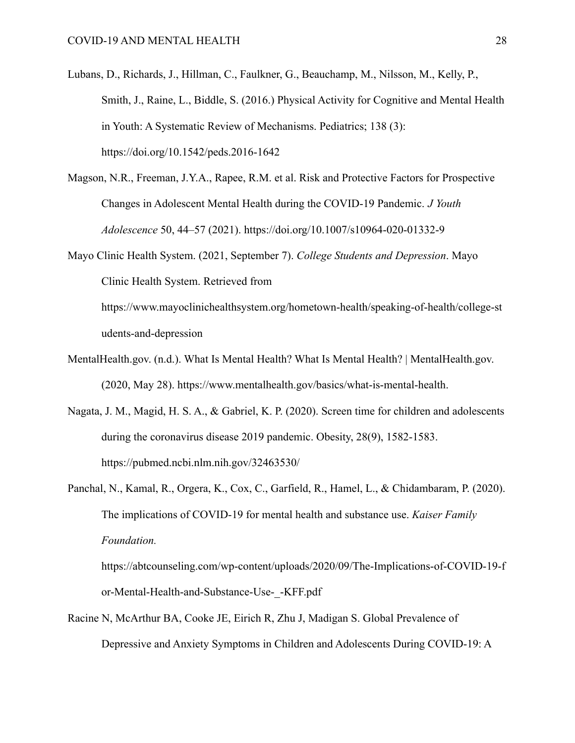- Lubans, D., Richards, J., Hillman, C., Faulkner, G., Beauchamp, M., Nilsson, M., Kelly, P., Smith, J., Raine, L., Biddle, S. (2016.) Physical Activity for Cognitive and Mental Health in Youth: A Systematic Review of Mechanisms. Pediatrics; 138 (3): https://doi.org/10.1542/peds.2016-1642
- Magson, N.R., Freeman, J.Y.A., Rapee, R.M. et al. Risk and Protective Factors for Prospective Changes in Adolescent Mental Health during the COVID-19 Pandemic. *J Youth Adolescence* 50, 44–57 (2021). https://doi.org/10.1007/s10964-020-01332-9
- Mayo Clinic Health System. (2021, September 7). *College Students and Depression*. Mayo Clinic Health System. Retrieved from

https://www.mayoclinichealthsystem.org/hometown-health/speaking-of-health/college-st udents-and-depression

- MentalHealth.gov. (n.d.). What Is Mental Health? What Is Mental Health? | MentalHealth.gov. (2020, May 28). https://www.mentalhealth.gov/basics/what-is-mental-health.
- Nagata, J. M., Magid, H. S. A., & Gabriel, K. P. (2020). Screen time for children and adolescents during the coronavirus disease 2019 pandemic. Obesity, 28(9), 1582-1583. https://pubmed.ncbi.nlm.nih.gov/32463530/
- Panchal, N., Kamal, R., Orgera, K., Cox, C., Garfield, R., Hamel, L., & Chidambaram, P. (2020). The implications of COVID-19 for mental health and substance use. *Kaiser Family Foundation.* https://abtcounseling.com/wp-content/uploads/2020/09/The-Implications-of-COVID-19-f

or-Mental-Health-and-Substance-Use-\_-KFF.pdf

Racine N, McArthur BA, Cooke JE, Eirich R, Zhu J, Madigan S. Global Prevalence of Depressive and Anxiety Symptoms in Children and Adolescents During COVID-19: A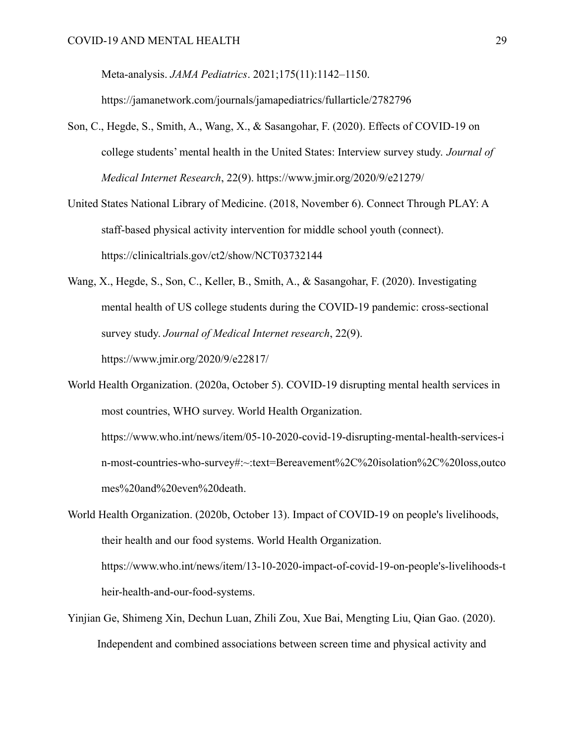Meta-analysis. *JAMA Pediatrics*. 2021;175(11):1142–1150.

https://jamanetwork.com/journals/jamapediatrics/fullarticle/2782796

- Son, C., Hegde, S., Smith, A., Wang, X., & Sasangohar, F. (2020). Effects of COVID-19 on college students' mental health in the United States: Interview survey study. *Journal of Medical Internet Research*, 22(9). https://www.jmir.org/2020/9/e21279/
- United States National Library of Medicine. (2018, November 6). Connect Through PLAY: A staff-based physical activity intervention for middle school youth (connect). https://clinicaltrials.gov/ct2/show/NCT03732144
- Wang, X., Hegde, S., Son, C., Keller, B., Smith, A., & Sasangohar, F. (2020). Investigating mental health of US college students during the COVID-19 pandemic: cross-sectional survey study. *Journal of Medical Internet research*, 22(9). https://www.jmir.org/2020/9/e22817/

World Health Organization. (2020a, October 5). COVID-19 disrupting mental health services in most countries, WHO survey. World Health Organization. https://www.who.int/news/item/05-10-2020-covid-19-disrupting-mental-health-services-i n-most-countries-who-survey#:~:text=Bereavement%2C%20isolation%2C%20loss,outco mes%20and%20even%20death.

World Health Organization. (2020b, October 13). Impact of COVID-19 on people's livelihoods, their health and our food systems. World Health Organization. https://www.who.int/news/item/13-10-2020-impact-of-covid-19-on-people's-livelihoods-t heir-health-and-our-food-systems.

Yinjian Ge, Shimeng Xin, Dechun Luan, Zhili Zou, Xue Bai, Mengting Liu, Qian Gao. (2020). Independent and combined associations between screen time and physical activity and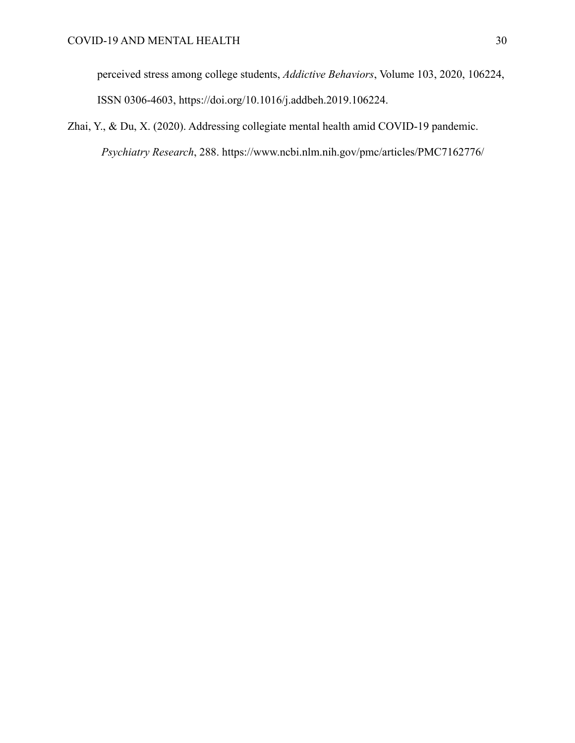perceived stress among college students, *Addictive Behaviors*, Volume 103, 2020, 106224, ISSN 0306-4603, https://doi.org/10.1016/j.addbeh.2019.106224.

Zhai, Y., & Du, X. (2020). Addressing collegiate mental health amid COVID-19 pandemic. *Psychiatry Research*, 288. https://www.ncbi.nlm.nih.gov/pmc/articles/PMC7162776/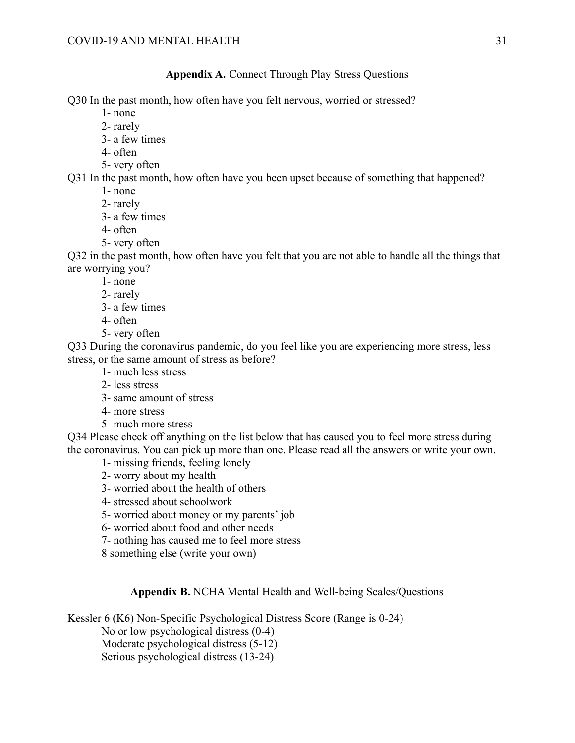## **Appendix A.** Connect Through Play Stress Questions

Q30 In the past month, how often have you felt nervous, worried or stressed?

- 1- none
- 2- rarely
- 3- a few times
- 4- often
- 5- very often

Q31 In the past month, how often have you been upset because of something that happened?

- 1- none
- 2- rarely
- 3- a few times
- 4- often
- 5- very often

Q32 in the past month, how often have you felt that you are not able to handle all the things that are worrying you?

- 1- none
- 2- rarely
- 3- a few times
- 4- often
- 5- very often

Q33 During the coronavirus pandemic, do you feel like you are experiencing more stress, less stress, or the same amount of stress as before?

- 1- much less stress
- 2- less stress
- 3- same amount of stress
- 4- more stress
- 5- much more stress

Q34 Please check off anything on the list below that has caused you to feel more stress during the coronavirus. You can pick up more than one. Please read all the answers or write your own.

- 1- missing friends, feeling lonely
- 2- worry about my health
- 3- worried about the health of others
- 4- stressed about schoolwork
- 5- worried about money or my parents' job
- 6- worried about food and other needs
- 7- nothing has caused me to feel more stress
- 8 something else (write your own)

## **Appendix B.** NCHA Mental Health and Well-being Scales/Questions

Kessler 6 (K6) Non-Specific Psychological Distress Score (Range is 0-24)

No or low psychological distress (0-4)

Moderate psychological distress (5-12)

Serious psychological distress (13-24)